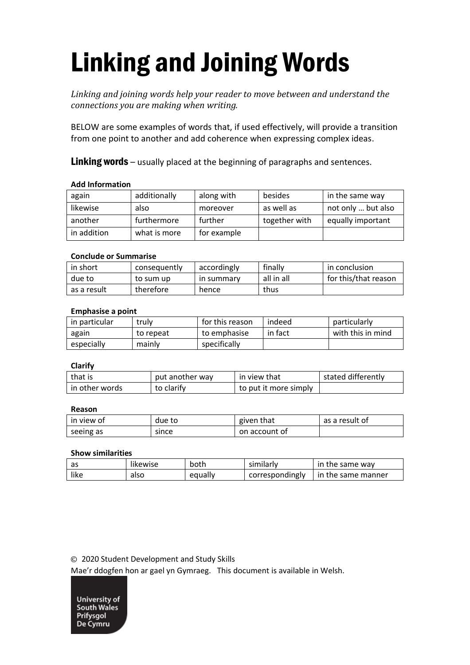# Linking and Joining Words

*Linking and joining words help your reader to move between and understand the connections you are making when writing.* 

BELOW are some examples of words that, if used effectively, will provide a transition from one point to another and add coherence when expressing complex ideas.

Linking words – usually placed at the beginning of paragraphs and sentences.

# **Add Information**

| again       | additionally | along with  | besides       | in the same way    |
|-------------|--------------|-------------|---------------|--------------------|
| likewise    | also         | moreover    | as well as    | not only  but also |
| another     | furthermore  | further     | together with | equally important  |
| in addition | what is more | for example |               |                    |

## **Conclude or Summarise**

| in short    | consequently | accordingly       | finally    | in conclusion        |
|-------------|--------------|-------------------|------------|----------------------|
| due to      | to sum up    | <b>In summary</b> | all in all | for this/that reason |
| as a result | therefore    | hence             | thus       |                      |

# **Emphasise a point**

| in particular | trulv     | for this reason | indeed  | particularly      |
|---------------|-----------|-----------------|---------|-------------------|
| again         | to repeat | to emphasise    | in fact | with this in mind |
| especially    | mainly    | specifically    |         |                   |

## **Clarify**

| that is        | put another way | in view that          | stated differently |
|----------------|-----------------|-----------------------|--------------------|
| in other words | to clarify      | to put it more simply |                    |

## **Reason**

| l in view of | due to | given that    | as a result of |
|--------------|--------|---------------|----------------|
| seeing as    | since  | on account of |                |

# **Show similarities**

| as   | likewise | both    | similarly       | in the same way    |
|------|----------|---------|-----------------|--------------------|
| like | also     | equally | correspondingly | in the same manner |

© 2020 Student Development and Study Skills

Mae'r ddogfen hon ar gael yn Gymraeg. This document is available in Welsh.

University of **South Wales** Prifysgol De Cymru